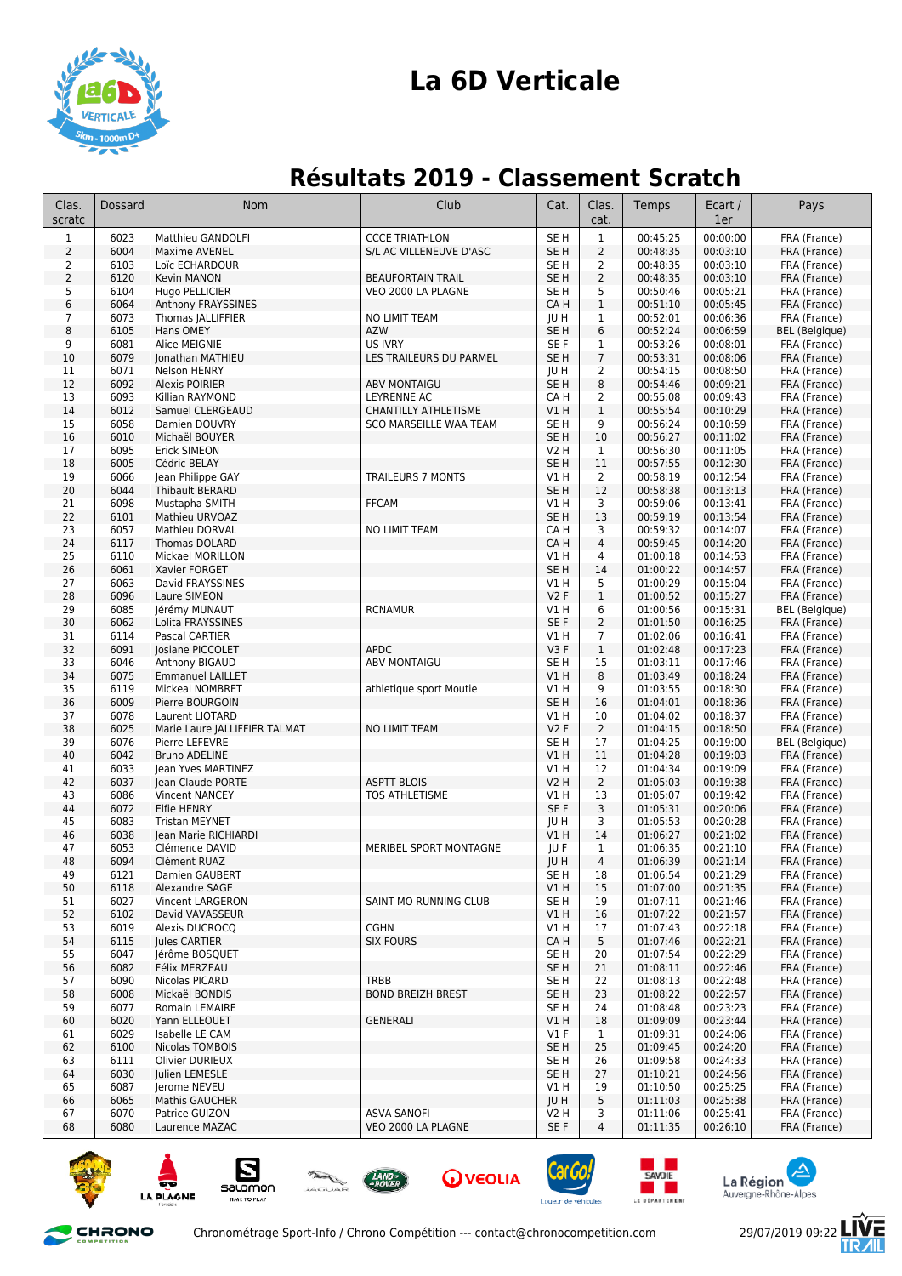

## **La 6D Verticale**

## **Résultats 2019 - Classement Scratch**

| Clas.<br>scratc | <b>Dossard</b> | <b>Nom</b>                                 | Club                               | Cat.                    | Clas.<br>cat.        | Temps                | Ecart /<br>1er       | Pays                         |
|-----------------|----------------|--------------------------------------------|------------------------------------|-------------------------|----------------------|----------------------|----------------------|------------------------------|
| $\mathbf{1}$    | 6023           | Matthieu GANDOLFI                          | <b>CCCE TRIATHLON</b>              | SE <sub>H</sub>         | $\mathbf{1}$         | 00:45:25             | 00:00:00             | FRA (France)                 |
| $\overline{2}$  | 6004           | Maxime AVENEL                              | S/L AC VILLENEUVE D'ASC            | SE <sub>H</sub>         | $\overline{2}$       | 00:48:35             | 00:03:10             | FRA (France)                 |
| 2               | 6103           | Loïc ECHARDOUR                             |                                    | SE <sub>H</sub>         | 2                    | 00:48:35             | 00:03:10             | FRA (France)                 |
| $\overline{2}$  | 6120           | Kevin MANON                                | <b>BEAUFORTAIN TRAIL</b>           | SE <sub>H</sub>         | $\overline{2}$       | 00:48:35             | 00:03:10             | FRA (France)                 |
| 5<br>6          | 6104<br>6064   | Hugo PELLICIER<br>Anthony FRAYSSINES       | VEO 2000 LA PLAGNE                 | SE <sub>H</sub><br>CA H | 5<br>$\mathbf{1}$    | 00:50:46<br>00:51:10 | 00:05:21<br>00:05:45 | FRA (France)<br>FRA (France) |
| 7               | 6073           | Thomas JALLIFFIER                          | NO LIMIT TEAM                      | JU H                    | $\mathbf{1}$         | 00:52:01             | 00:06:36             | FRA (France)                 |
| 8               | 6105           | Hans OMEY                                  | <b>AZW</b>                         | SE <sub>H</sub>         | 6                    | 00:52:24             | 00:06:59             | <b>BEL</b> (Belgique)        |
| 9               | 6081           | Alice MEIGNIE                              | US IVRY                            | SE F                    | 1                    | 00:53:26             | 00:08:01             | FRA (France)                 |
| 10              | 6079           | Jonathan MATHIEU                           | LES TRAILEURS DU PARMEL            | SE <sub>H</sub>         | $\overline{7}$       | 00:53:31             | 00:08:06             | FRA (France)                 |
| 11              | 6071           | <b>Nelson HENRY</b>                        |                                    | JU H                    | 2                    | 00:54:15             | 00:08:50             | FRA (France)                 |
| 12<br>13        | 6092<br>6093   | <b>Alexis POIRIER</b><br>Killian RAYMOND   | <b>ABV MONTAIGU</b><br>LEYRENNE AC | SE H<br>CA H            | 8<br>2               | 00:54:46<br>00:55:08 | 00:09:21<br>00:09:43 | FRA (France)<br>FRA (France) |
| 14              | 6012           | Samuel CLERGEAUD                           | CHANTILLY ATHLETISME               | V1 H                    | $\mathbf{1}$         | 00:55:54             | 00:10:29             | FRA (France)                 |
| 15              | 6058           | Damien DOUVRY                              | SCO MARSEILLE WAA TEAM             | SE <sub>H</sub>         | 9                    | 00:56:24             | 00:10:59             | FRA (France)                 |
| 16              | 6010           | Michaël BOUYER                             |                                    | SE <sub>H</sub>         | 10                   | 00:56:27             | 00:11:02             | FRA (France)                 |
| 17              | 6095           | Erick SIMEON                               |                                    | V2 H                    | 1                    | 00:56:30             | 00:11:05             | FRA (France)                 |
| 18              | 6005           | Cédric BELAY                               |                                    | SE <sub>H</sub>         | 11                   | 00:57:55             | 00:12:30             | FRA (France)                 |
| 19<br>20        | 6066<br>6044   | Jean Philippe GAY<br>Thibault BERARD       | <b>TRAILEURS 7 MONTS</b>           | V1 H<br>SE <sub>H</sub> | $\overline{2}$<br>12 | 00:58:19<br>00:58:38 | 00:12:54<br>00:13:13 | FRA (France)                 |
| 21              | 6098           | Mustapha SMITH                             | <b>FFCAM</b>                       | V1 H                    | 3                    | 00:59:06             | 00:13:41             | FRA (France)<br>FRA (France) |
| 22              | 6101           | Mathieu URVOAZ                             |                                    | SE <sub>H</sub>         | 13                   | 00:59:19             | 00:13:54             | FRA (France)                 |
| 23              | 6057           | Mathieu DORVAL                             | NO LIMIT TEAM                      | CA H                    | 3                    | 00:59:32             | 00:14:07             | FRA (France)                 |
| 24              | 6117           | Thomas DOLARD                              |                                    | CA H                    | $\overline{4}$       | 00:59:45             | 00:14:20             | FRA (France)                 |
| 25              | 6110           | <b>Mickael MORILLON</b>                    |                                    | V1 H                    | 4                    | 01:00:18             | 00:14:53             | FRA (France)                 |
| 26              | 6061           | Xavier FORGET                              |                                    | SE <sub>H</sub>         | 14                   | 01:00:22             | 00:14:57             | FRA (France)                 |
| 27<br>28        | 6063<br>6096   | David FRAYSSINES<br>Laure SIMEON           |                                    | V1 H<br>V2F             | 5<br>$\mathbf{1}$    | 01:00:29<br>01:00:52 | 00:15:04<br>00:15:27 | FRA (France)<br>FRA (France) |
| 29              | 6085           | Jérémy MUNAUT                              | <b>RCNAMUR</b>                     | V1 H                    | 6                    | 01:00:56             | 00:15:31             | <b>BEL</b> (Belgique)        |
| 30              | 6062           | Lolita FRAYSSINES                          |                                    | SE F                    | $\overline{2}$       | 01:01:50             | 00:16:25             | FRA (France)                 |
| 31              | 6114           | Pascal CARTIER                             |                                    | V1 H                    | 7                    | 01:02:06             | 00:16:41             | FRA (France)                 |
| 32              | 6091           | Josiane PICCOLET                           | <b>APDC</b>                        | V3F                     | $\mathbf{1}$         | 01:02:48             | 00:17:23             | FRA (France)                 |
| 33              | 6046           | Anthony BIGAUD                             | <b>ABV MONTAIGU</b>                | SE H                    | 15                   | 01:03:11             | 00:17:46             | FRA (France)                 |
| 34              | 6075           | <b>Emmanuel LAILLET</b>                    |                                    | V1 H                    | 8                    | 01:03:49             | 00:18:24             | FRA (France)                 |
| 35<br>36        | 6119<br>6009   | Mickeal NOMBRET<br>Pierre BOURGOIN         | athletique sport Moutie            | V1 H<br>SE <sub>H</sub> | 9<br>16              | 01:03:55<br>01:04:01 | 00:18:30<br>00:18:36 | FRA (France)<br>FRA (France) |
| 37              | 6078           | Laurent LIOTARD                            |                                    | V1 H                    | 10                   | 01:04:02             | 00:18:37             | FRA (France)                 |
| 38              | 6025           | Marie Laure JALLIFFIER TALMAT              | NO LIMIT TEAM                      | V2F                     | $\overline{2}$       | 01:04:15             | 00:18:50             | FRA (France)                 |
| 39              | 6076           | Pierre LEFEVRE                             |                                    | SE <sub>H</sub>         | 17                   | 01:04:25             | 00:19:00             | <b>BEL</b> (Belgique)        |
| 40              | 6042           | <b>Bruno ADELINE</b>                       |                                    | V1 H                    | 11                   | 01:04:28             | 00:19:03             | FRA (France)                 |
| 41              | 6033<br>6037   | Jean Yves MARTINEZ                         | <b>ASPTT BLOIS</b>                 | V1 H<br>V2 H            | 12<br>$\overline{2}$ | 01:04:34<br>01:05:03 | 00:19:09<br>00:19:38 | FRA (France)<br>FRA (France) |
| 42<br>43        | 6086           | Jean Claude PORTE<br><b>Vincent NANCEY</b> | <b>TOS ATHLETISME</b>              | V1 H                    | 13                   | 01:05:07             | 00:19:42             | FRA (France)                 |
| 44              | 6072           | Elfie HENRY                                |                                    | SE F                    | 3                    | 01:05:31             | 00:20:06             | FRA (France)                 |
| 45              | 6083           | <b>Tristan MEYNET</b>                      |                                    | <b>JUH</b>              | 3                    | 01:05:53             | 00:20:28             | FRA (France)                 |
| 46              | 6038           | Jean Marie RICHIARDI                       |                                    | V1 H                    | 14                   | 01:06:27             | 00:21:02             | FRA (France)                 |
| 47              | 6053           | Clémence DAVID                             | MERIBEL SPORT MONTAGNE             | JU F                    | 1                    | 01:06:35             | 00:21:10             | FRA (France)                 |
| 48              | 6094           | Clément RUAZ                               |                                    | JU H                    | 4                    | 01:06:39             | 00:21:14             | FRA (France)                 |
| 49<br>50        | 6121<br>6118   | Damien GAUBERT<br>Alexandre SAGE           |                                    | SE H<br>VIH             | 18<br>15             | 01:06:54<br>01:07:00 | 00:21:29<br>00:21:35 | FRA (France)<br>FRA (France) |
| 51              | 6027           | Vincent LARGERON                           | SAINT MO RUNNING CLUB              | SE H                    | 19                   | 01:07:11             | 00:21:46             | FRA (France)                 |
| 52              | 6102           | David VAVASSEUR                            |                                    | V1 H                    | 16                   | 01:07:22             | 00:21:57             | FRA (France)                 |
| 53              | 6019           | Alexis DUCROCQ                             | <b>CGHN</b>                        | V1 H                    | 17                   | 01:07:43             | 00:22:18             | FRA (France)                 |
| 54              | 6115           | Jules CARTIER                              | <b>SIX FOURS</b>                   | CA H                    | 5                    | 01:07:46             | 00:22:21             | FRA (France)                 |
| 55              | 6047           | Jérôme BOSQUET                             |                                    | SE H                    | 20                   | 01:07:54             | 00:22:29<br>00:22:46 | FRA (France)                 |
| 56<br>57        | 6082<br>6090   | Félix MERZEAU<br>Nicolas PICARD            | TRBB                               | SE H<br>SE H            | 21<br>22             | 01:08:11<br>01:08:13 | 00:22:48             | FRA (France)<br>FRA (France) |
| 58              | 6008           | Mickaël BONDIS                             | <b>BOND BREIZH BREST</b>           | SE H                    | 23                   | 01:08:22             | 00:22:57             | FRA (France)                 |
| 59              | 6077           | Romain LEMAIRE                             |                                    | SE H                    | 24                   | 01:08:48             | 00:23:23             | FRA (France)                 |
| 60              | 6020           | Yann ELLEOUET                              | GENERALI                           | V1 H                    | 18                   | 01:09:09             | 00:23:44             | FRA (France)                 |
| 61              | 6029           | Isabelle LE CAM                            |                                    | V1 F                    | 1                    | 01:09:31             | 00:24:06             | FRA (France)                 |
| 62              | 6100           | Nicolas TOMBOIS                            |                                    | SE H                    | 25                   | 01:09:45             | 00:24:20             | FRA (France)                 |
| 63<br>64        | 6111<br>6030   | Olivier DURIEUX<br>Julien LEMESLE          |                                    | SE <sub>H</sub><br>SE H | 26<br>27             | 01:09:58<br>01:10:21 | 00:24:33<br>00:24:56 | FRA (France)<br>FRA (France) |
| 65              | 6087           | Jerome NEVEU                               |                                    | V1 H                    | 19                   | 01:10:50             | 00:25:25             | FRA (France)                 |
| 66              | 6065           | <b>Mathis GAUCHER</b>                      |                                    | JU H                    | 5                    | 01:11:03             | 00:25:38             | FRA (France)                 |
| 67              | 6070           | Patrice GUIZON                             | <b>ASVA SANOFI</b>                 | V2 H                    | 3                    | 01:11:06             | 00:25:41             | FRA (France)                 |
| 68              | 6080           | Laurence MAZAC                             | VEO 2000 LA PLAGNE                 | SE F                    | 4                    | 01:11:35             | 00:26:10             | FRA (France)                 |











**SAVOIF**